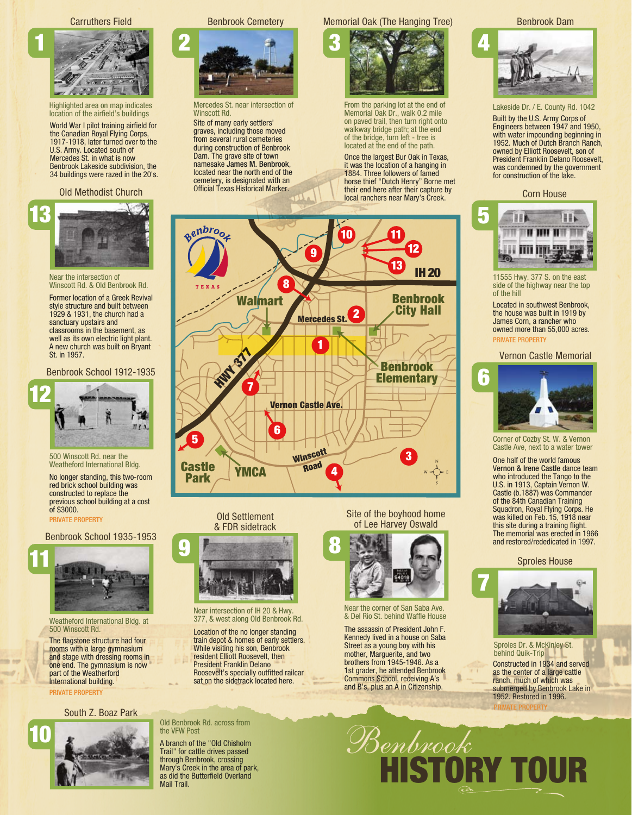Carruthers Field



Highlighted area on map indicates location of the airfield's buildings

World War I pilot training airfield for the Canadian Royal Flying Corps, 1917-1918, later turned over to the U.S. Army. Located south of Mercedes St. in what is now Benbrook Lakeside subdivision, the 34 buildings were razed in the 20's.

### Old Methodist Church



Near the intersection of Winscott Rd. & Old Benbrook Rd.

Former location of a Greek Revival style structure and built between 1929 & 1931, the church had a sanctuary upstairs and classrooms in the basement, as well as its own electric light plant. A new church was built on Bryant St. in 1957.

Benbrook School 1912-1935



500 Winscott Rd. near the Weatheford International Bldg.

No longer standing, this two-room red brick school building was constructed to replace the previous school building at a cost of \$3000. PRIVATE PROPERTY

Benbrook School 1935-1953



Weatheford International Bldg. at 500 Winscott Rd.

The flagstone structure had four rooms with a large gymnasium and stage with dressing rooms in one end. The gymnasium is now part of the Weatherford International building. PRIVATE PROPERTY

# South Z. Boaz Park



Benbrook Cemetery



Mercedes St. near intersection of Winscott Rd.

Site of many early settlers' graves, including those moved from several rural cemeteries during construction of Benbrook Dam. The grave site of town namesake James M. Benbrook, located near the north end of the cemetery, is designated with an Official Texas Historical Marker.

# Memorial Oak (The Hanging Tree)



Once the largest Bur Oak in Texas, From the parking lot at the end of Memorial Oak Dr., walk 0.2 mile on paved trail, then turn right onto walkway bridge path; at the end of the bridge, turn left - tree is located at the end of the path.

it was the location of a hanging in 1884. Three followers of famed horse thief "Dutch Henry" Borne met their end here after their capture by local ranchers near Mary's Creek.



Old Settlement & FDR sidetrack



Near intersection of IH 20 & Hwy. 377, & west along Old Benbrook Rd.

Location of the no longer standing train depot & homes of early settlers. While visiting his son, Benbrook resident Elliott Roosevelt, then President Franklin Delano Roosevelt's specially outfitted railcar sat on the sidetrack located here.

Site of the boyhood home of Lee Harvey Oswald



Near the corner of San Saba Ave. & Del Rio St. behind Waffle House

The assassin of President John F. Kennedy lived in a house on Saba Street as a young boy with his mother, Marguerite, and two brothers from 1945-1946. As a 1st grader, he attended Benbrook Commons School, receiving A's and B's, plus an A in Citizenship.

Benbrook





Lakeside Dr. / E. County Rd. 1042

Built by the U.S. Army Corps of Engineers between 1947 and 1950, with water impounding beginning in 1952. Much of Dutch Branch Ranch, owned by Elliott Roosevelt, son of President Franklin Delano Roosevelt, was condemned by the government for construction of the lake.

## Corn House



11555 Hwy. 377 S. on the east side of the highway near the top of the hill

Located in southwest Benbrook, the house was built in 1919 by James Corn, a rancher who owned more than 55,000 acres. PRIVATE PROPERTY

#### Vernon Castle Memorial



Corner of Cozby St. W. & Vernon Castle Ave, next to a water tower

One half of the world famous Vernon & Irene Castle dance team who introduced the Tango to the U.S. in 1913, Captain Vernon W. Castle (b.1887) was Commander of the 84th Canadian Training Squadron, Royal Flying Corps. He was killed on Feb. 15, 1918 near this site during a training flight. The memorial was erected in 1966 and restored/rededicated in 1997.

#### Sproles House



Constructed in 1934 and served as the center of a large cattle ranch, much of which was submerged by Benbrook Lake in 1952. Restored in 1996. PRIVATE PROPERTY Sproles Dr. & McKinley St. behind Quik-Trip

HISTORY TOUR

# Old Benbrook Rd. across from the VFW Post

A branch of the "Old Chisholm Trail" for cattle drives passed through Benbrook, crossing Mary's Creek in the area of park, as did the Butterfield Overland Mail Trail.